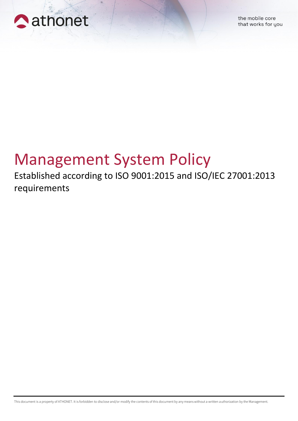

## Management System Policy

Established according to ISO 9001:2015 and ISO/IEC 27001:2013 requirements